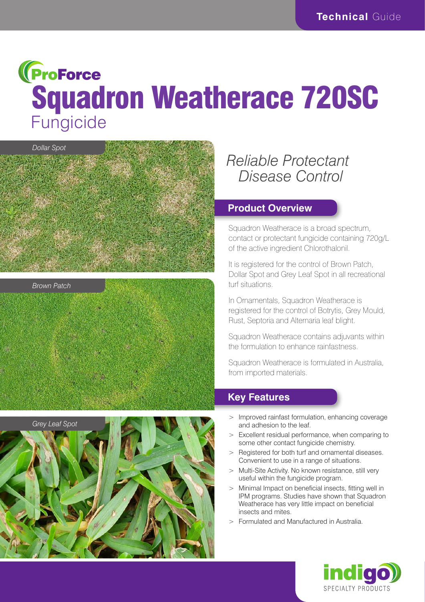# **(ProForce** Squadron Weatherace 720SC **Fungicide**







# *Reliable Protectant Disease Control*

#### **Product Overview**

Squadron Weatherace is a broad spectrum, contact or protectant fungicide containing 720g/L of the active ingredient Chlorothalonil.

It is registered for the control of Brown Patch, Dollar Spot and Grey Leaf Spot in all recreational turf situations.

In Ornamentals, Squadron Weatherace is registered for the control of Botrytis, Grey Mould, Rust, Septoria and Alternaria leaf blight.

Squadron Weatherace contains adjuvants within the formulation to enhance rainfastness.

Squadron Weatherace is formulated in Australia, from imported materials.

# **Key Features**

- Improved rainfast formulation, enhancing coverage and adhesion to the leaf.
- > Excellent residual performance, when comparing to some other contact fungicide chemistry.
- > Registered for both turf and ornamental diseases. Convenient to use in a range of situations.
- > Multi-Site Activity. No known resistance, still very useful within the fungicide program.
- > Minimal Impact on beneficial insects, fitting well in IPM programs. Studies have shown that Squadron Weatherace has very little impact on beneficial insects and mites.
- > Formulated and Manufactured in Australia.